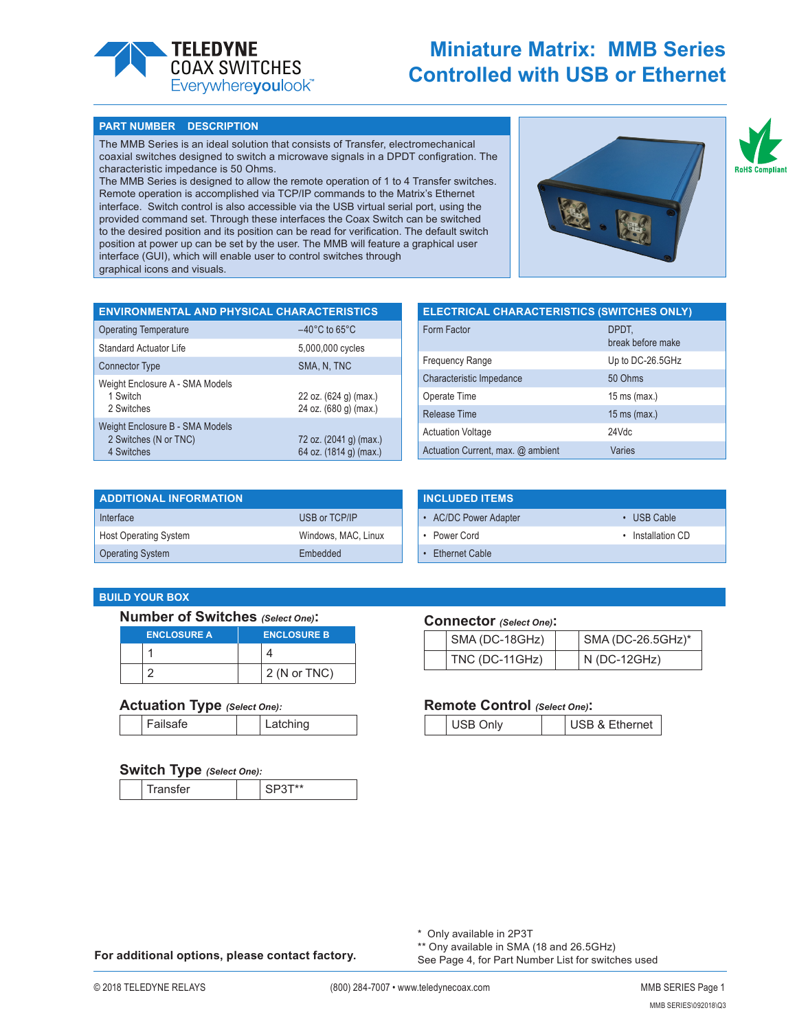

# **Miniature Matrix: MMB Series COAX SWITCHES**<br>Everywhereyoulook<sup>\*</sup> **Controlled with USB or Ethernet**

#### **PART NUMBER DESCRIPTION**

The MMB Series is an ideal solution that consists of Transfer, electromechanical coaxial switches designed to switch a microwave signals in a DPDT configration. The characteristic impedance is 50 Ohms.

The MMB Series is designed to allow the remote operation of 1 to 4 Transfer switches. Remote operation is accomplished via TCP/IP commands to the Matrix's Ethernet interface. Switch control is also accessible via the USB virtual serial port, using the provided command set. Through these interfaces the Coax Switch can be switched to the desired position and its position can be read for verification. The default switch position at power up can be set by the user. The MMB will feature a graphical user interface (GUI), which will enable user to control switches through graphical icons and visuals.



**RoHS Compl** 

| <b>ENVIRONMENTAL AND PHYSICAL CHARACTERISTICS</b>                      |                                                  |
|------------------------------------------------------------------------|--------------------------------------------------|
| <b>Operating Temperature</b>                                           | $-40^{\circ}$ C to 65 $^{\circ}$ C               |
| Standard Actuator Life                                                 | 5,000,000 cycles                                 |
| <b>Connector Type</b>                                                  | SMA, N, TNC                                      |
| Weight Enclosure A - SMA Models<br>1 Switch<br>2 Switches              | 22 oz. (624 g) (max.)<br>24 oz. (680 g) (max.)   |
| Weight Enclosure B - SMA Models<br>2 Switches (N or TNC)<br>4 Switches | 72 oz. (2041 g) (max.)<br>64 oz. (1814 g) (max.) |

| <b>ELECTRICAL CHARACTERISTICS (SWITCHES ONLY)</b> |                            |
|---------------------------------------------------|----------------------------|
| Form Factor                                       | DPDT,<br>break before make |
| <b>Frequency Range</b>                            | Up to DC-26.5GHz           |
| Characteristic Impedance                          | 50 Ohms                    |
| Operate Time                                      | $15 \text{ ms}$ (max.)     |
| <b>Release Time</b>                               | $15 \text{ ms}$ (max.)     |
| <b>Actuation Voltage</b>                          | 24Vdc                      |
| Actuation Current, max. @ ambient                 | Varies                     |

| <b>ADDITIONAL INFORMATION</b> |                     |
|-------------------------------|---------------------|
| Interface                     | USB or TCP/IP       |
| <b>Host Operating System</b>  | Windows, MAC, Linux |
| <b>Operating System</b>       | Embedded            |

| <b>INCLUDED ITEMS</b> |                   |
|-----------------------|-------------------|
| • AC/DC Power Adapter | $\cdot$ USB Cable |
| • Power Cord          | • Installation CD |
| • Ethernet Cable      |                   |

# **BUILD YOUR BOX**

### **Number of Switches** *(Select One)***:**

| <b>ENCLOSURE A</b> | <b>ENCLOSURE B</b> |
|--------------------|--------------------|
|                    |                    |
|                    | $2$ (N or TNC)     |

## **Actuation Type** *(Select One):*

| Failsafe | Latching |
|----------|----------|
|----------|----------|

## **Switch Type** *(Select One):*

|  |  | <br>- - |  | $\ddot{\phantom{1}}$ |
|--|--|---------|--|----------------------|
|--|--|---------|--|----------------------|

## **Connector** *(Select One)***:**

|  | SMA (DC-18GHz) | SMA (DC-26.5GHz)* |
|--|----------------|-------------------|
|  | TNC (DC-11GHz) | N (DC-12GHz)      |

## **Remote Control** *(Select One)***:**

| <b>JSB &amp; Ethernet</b><br><b>- 111</b> |
|-------------------------------------------|
|-------------------------------------------|

\* Only available in 2P3T

**For additional options, please contact factory.**

\*\* Ony available in SMA (18 and 26.5GHz) See Page 4, for Part Number List for switches used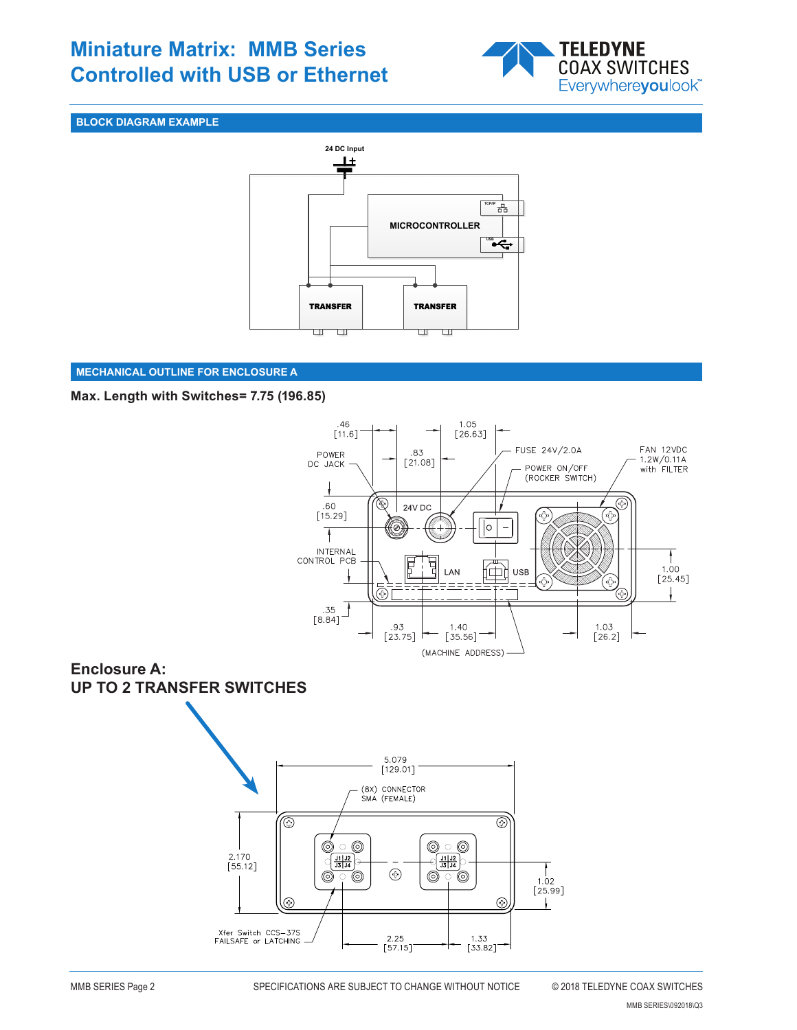# **Miniature Matrix: MMB Series Controlled with USB or Ethernet** COAX SWITCHES



# **BLOCK DIAGRAM EXAMPLE**



# **MECHANICAL OUTLINE FOR ENCLOSURE A**

# **Max. Length with Switches= 7.75 (196.85)**



# **Enclosure A: UP TO 2 TRANSFER SWITCHES**

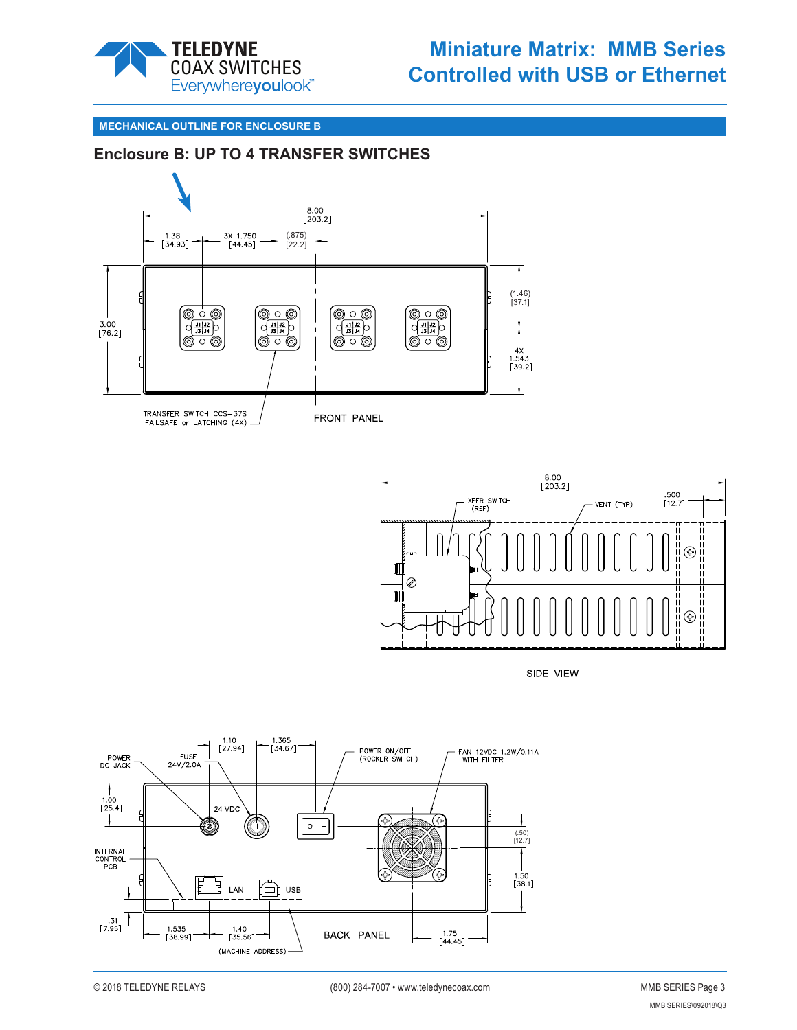

# **Miniature Matrix: MMB Series COAX SWITCHES**<br>Everywhereyoulook<sup>\*</sup> **Controlled with USB or Ethernet**

### **MECHANICAL OUTLINE FOR ENCLOSURE B**

# **Enclosure B: UP TO 4 TRANSFER SWITCHES**





SIDE VIEW

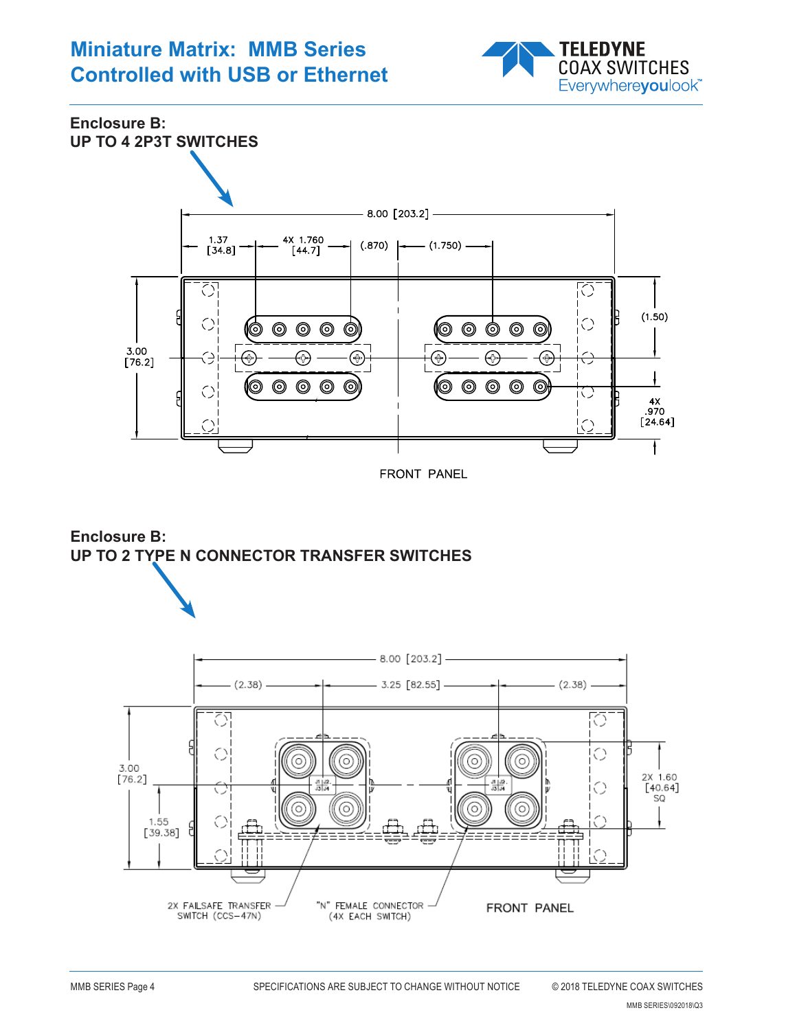# **Miniature Matrix: MMB Series Controlled with USB or Ethernet** COAX SWITCHES



**Enclosure B: UP TO 4 2P3T SWITCHES**







MMB SERIES\092018\Q3